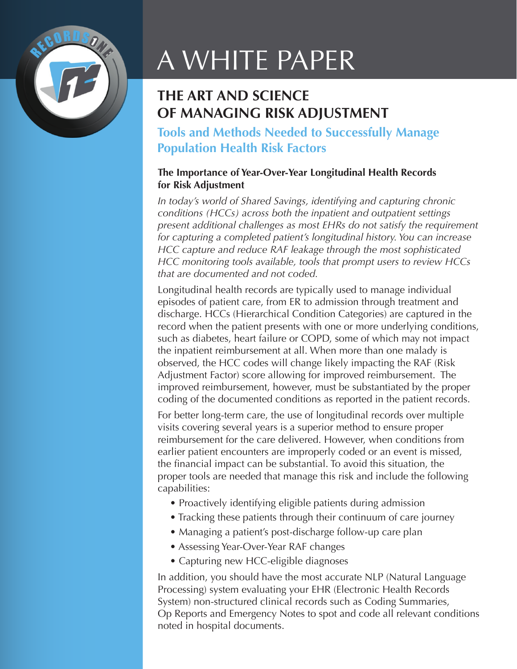

# A WHITE PAPER

# **THE ART AND SCIENCE OF MANAGING RISK ADJUSTMENT**

**Tools and Methods Needed to Successfully Manage Population Health Risk Factors**

## **The Importance of Year-Over-Year Longitudinal Health Records for Risk Adjustment**

*In today's world of Shared Savings, identifying and capturing chronic conditions (HCCs) across both the inpatient and outpatient settings present additional challenges as most EHRs do not satisfy the requirement for capturing a completed patient's longitudinal history. You can increase HCC capture and reduce RAF leakage through the most sophisticated HCC monitoring tools available, tools that prompt users to review HCCs that are documented and not coded.*

Longitudinal health records are typically used to manage individual episodes of patient care, from ER to admission through treatment and discharge. HCCs (Hierarchical Condition Categories) are captured in the record when the patient presents with one or more underlying conditions, such as diabetes, heart failure or COPD, some of which may not impact the inpatient reimbursement at all. When more than one malady is observed, the HCC codes will change likely impacting the RAF (Risk Adjustment Factor) score allowing for improved reimbursement. The improved reimbursement, however, must be substantiated by the proper coding of the documented conditions as reported in the patient records.

For better long-term care, the use of longitudinal records over multiple visits covering several years is a superior method to ensure proper reimbursement for the care delivered. However, when conditions from earlier patient encounters are improperly coded or an event is missed, the financial impact can be substantial. To avoid this situation, the proper tools are needed that manage this risk and include the following capabilities:

- Proactively identifying eligible patients during admission
- Tracking these patients through their continuum of care journey
- Managing a patient's post-discharge follow-up care plan
- Assessing Year-Over-Year RAF changes
- Capturing new HCC-eligible diagnoses

In addition, you should have the most accurate NLP (Natural Language Processing) system evaluating your EHR (Electronic Health Records System) non-structured clinical records such as Coding Summaries, Op Reports and Emergency Notes to spot and code all relevant conditions noted in hospital documents.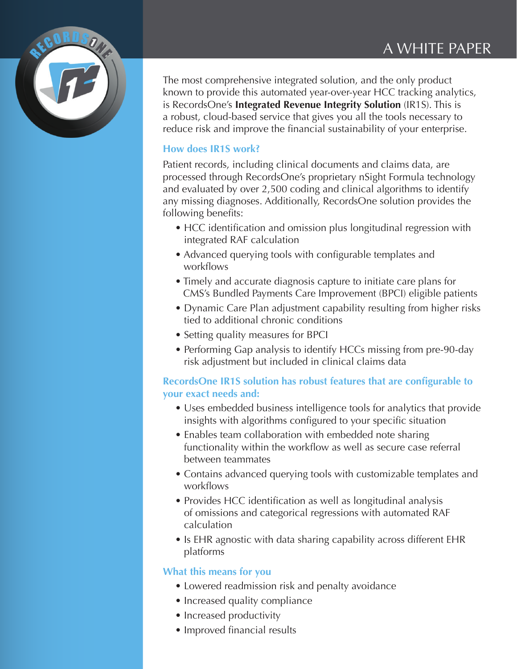## A WHITE PAPER



The most comprehensive integrated solution, and the only product known to provide this automated year-over-year HCC tracking analytics, is RecordsOne's **Integrated Revenue Integrity Solution** (IR1S). This is a robust, cloud-based service that gives you all the tools necessary to reduce risk and improve the financial sustainability of your enterprise.

#### **How does IR1S work?**

Patient records, including clinical documents and claims data, are processed through RecordsOne's proprietary nSight Formula technology and evaluated by over 2,500 coding and clinical algorithms to identify any missing diagnoses. Additionally, RecordsOne solution provides the following benefits:

- HCC identification and omission plus longitudinal regression with integrated RAF calculation
- Advanced querying tools with configurable templates and workflows
- Timely and accurate diagnosis capture to initiate care plans for CMS's Bundled Payments Care Improvement (BPCI) eligible patients
- Dynamic Care Plan adjustment capability resulting from higher risks tied to additional chronic conditions
- Setting quality measures for BPCI
- Performing Gap analysis to identify HCCs missing from pre-90-day risk adjustment but included in clinical claims data

## **RecordsOne IR1S solution has robust features that are configurable to your exact needs and:**

- Uses embedded business intelligence tools for analytics that provide insights with algorithms configured to your specific situation
- Enables team collaboration with embedded note sharing functionality within the workflow as well as secure case referral between teammates
- Contains advanced querying tools with customizable templates and workflows
- Provides HCC identification as well as longitudinal analysis of omissions and categorical regressions with automated RAF calculation
- Is EHR agnostic with data sharing capability across different EHR platforms

#### **What this means for you**

- Lowered readmission risk and penalty avoidance
- Increased quality compliance
- Increased productivity
- Improved financial results